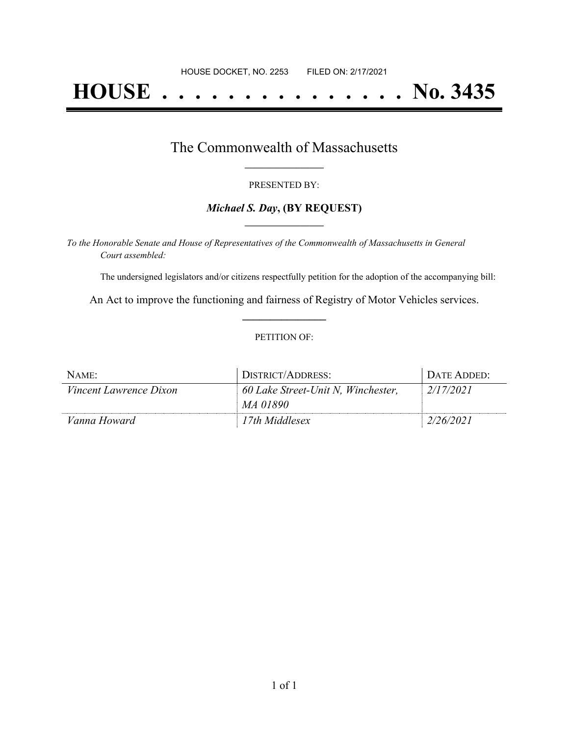# **HOUSE . . . . . . . . . . . . . . . No. 3435**

## The Commonwealth of Massachusetts **\_\_\_\_\_\_\_\_\_\_\_\_\_\_\_\_\_**

#### PRESENTED BY:

#### *Michael S. Day***, (BY REQUEST) \_\_\_\_\_\_\_\_\_\_\_\_\_\_\_\_\_**

*To the Honorable Senate and House of Representatives of the Commonwealth of Massachusetts in General Court assembled:*

The undersigned legislators and/or citizens respectfully petition for the adoption of the accompanying bill:

An Act to improve the functioning and fairness of Registry of Motor Vehicles services. **\_\_\_\_\_\_\_\_\_\_\_\_\_\_\_**

#### PETITION OF:

| NAME:                         | DISTRICT/ADDRESS:                  | DATE ADDED: |
|-------------------------------|------------------------------------|-------------|
| <i>Vincent Lawrence Dixon</i> | 60 Lake Street-Unit N, Winchester, | 2/17/2021   |
|                               | MA 01890                           |             |
| Vanna Howard                  | 17th Middlesex                     | 2/26/2021   |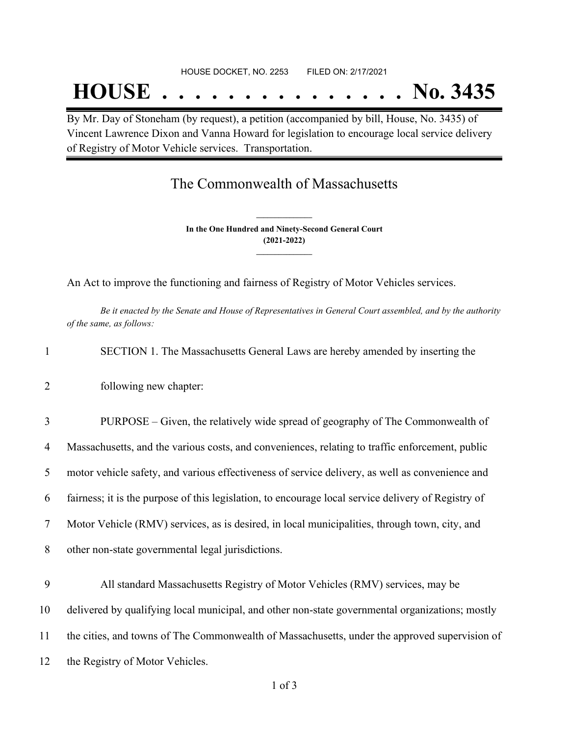# **HOUSE . . . . . . . . . . . . . . . No. 3435**

By Mr. Day of Stoneham (by request), a petition (accompanied by bill, House, No. 3435) of Vincent Lawrence Dixon and Vanna Howard for legislation to encourage local service delivery of Registry of Motor Vehicle services. Transportation.

### The Commonwealth of Massachusetts

**In the One Hundred and Ninety-Second General Court (2021-2022) \_\_\_\_\_\_\_\_\_\_\_\_\_\_\_**

**\_\_\_\_\_\_\_\_\_\_\_\_\_\_\_**

An Act to improve the functioning and fairness of Registry of Motor Vehicles services.

Be it enacted by the Senate and House of Representatives in General Court assembled, and by the authority *of the same, as follows:*

|  | SECTION 1. The Massachusetts General Laws are hereby amended by inserting the |  |  |
|--|-------------------------------------------------------------------------------|--|--|
|  |                                                                               |  |  |

2 following new chapter:

 PURPOSE – Given, the relatively wide spread of geography of The Commonwealth of Massachusetts, and the various costs, and conveniences, relating to traffic enforcement, public motor vehicle safety, and various effectiveness of service delivery, as well as convenience and fairness; it is the purpose of this legislation, to encourage local service delivery of Registry of Motor Vehicle (RMV) services, as is desired, in local municipalities, through town, city, and other non-state governmental legal jurisdictions.

 All standard Massachusetts Registry of Motor Vehicles (RMV) services, may be delivered by qualifying local municipal, and other non-state governmental organizations; mostly the cities, and towns of The Commonwealth of Massachusetts, under the approved supervision of the Registry of Motor Vehicles.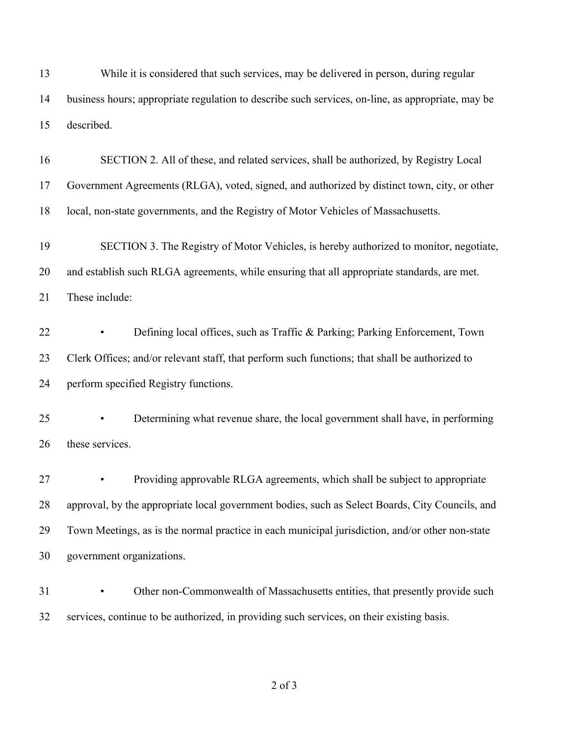While it is considered that such services, may be delivered in person, during regular business hours; appropriate regulation to describe such services, on-line, as appropriate, may be described. SECTION 2. All of these, and related services, shall be authorized, by Registry Local Government Agreements (RLGA), voted, signed, and authorized by distinct town, city, or other local, non-state governments, and the Registry of Motor Vehicles of Massachusetts. SECTION 3. The Registry of Motor Vehicles, is hereby authorized to monitor, negotiate, and establish such RLGA agreements, while ensuring that all appropriate standards, are met. These include: • Defining local offices, such as Traffic & Parking; Parking Enforcement, Town 23 Clerk Offices; and/or relevant staff, that perform such functions; that shall be authorized to perform specified Registry functions. • Determining what revenue share, the local government shall have, in performing these services. • Providing approvable RLGA agreements, which shall be subject to appropriate approval, by the appropriate local government bodies, such as Select Boards, City Councils, and Town Meetings, as is the normal practice in each municipal jurisdiction, and/or other non-state government organizations. • Other non-Commonwealth of Massachusetts entities, that presently provide such services, continue to be authorized, in providing such services, on their existing basis.